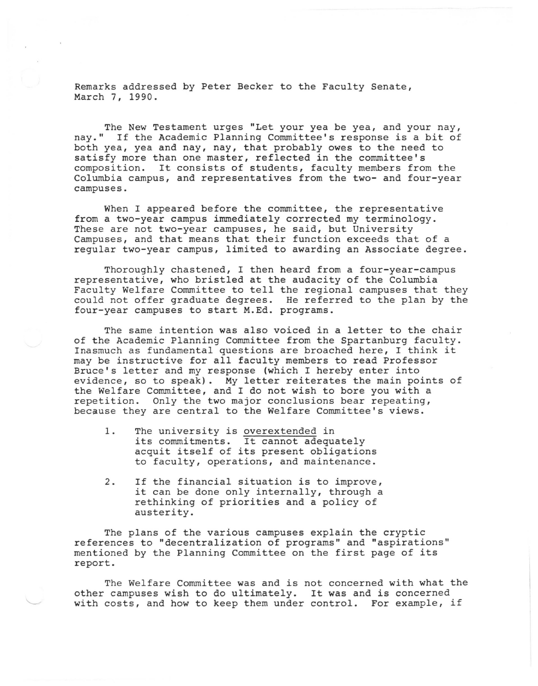Remarks addressed by Peter Becker to the Faculty Senate, March 7, 1990.

The New Testament urges "Let your yea be yea, and your nay, nay." If the Academic Planning Committee's response is a bit of both yea, yea and nay, nay, that probably owes to the need to satisfy more than one master, reflected in the committee's composition. It consists of students, faculty members from the Columbia campus, and representatives from the two- and four-year campuses.

When I appeared before the committee, the representative from a two-year campus immediately corrected my terminology. These are not two-year campuses, he said, but University Campuses, and that means that their function exceeds that of a regular two-year campus, limited to awarding an Associate degree.

Thoroughly chastened, I then heard from a four-year-campus representative, who bristled at the audacity of the Columbia Faculty Welfare Committee to tell the regional campuses that they could not offer graduate degrees. He referred to the plan by the four-year campuses to start M.Ed. programs.

The same intention was also voiced in a letter to the chair of the Academic Planning Committee from the Spartanburg faculty. Inasmuch as fundamental questions are broached here, I think it may be instructive for all faculty members to read Professor Bruce's letter and my response (which I hereby enter into evidence, so to speak). My letter reiterates the main points of the Welfare Committee, and I do not wish to bore you with a repetition. Only the two major conclusions bear repeating, because they are central to the Welfare Committee's views.

- 1. The university is overextended in its commitments. It cannot adequately acquit itself of its present obligations to faculty, operations, and maintenance.
- 2. If the financial situation is to improve, it can be done only internally, through a rethinking of priorities and a policy of austerity.

The plans of the various campuses explain the cryptic references to "decentralization of programs" and "aspirations" mentioned by the Planning Committee on the first page of its report.

The Welfare Committee was and is not concerned with what the other campuses wish to do ultimately. It was and is concerned with costs, and how to keep them under control. For example, if